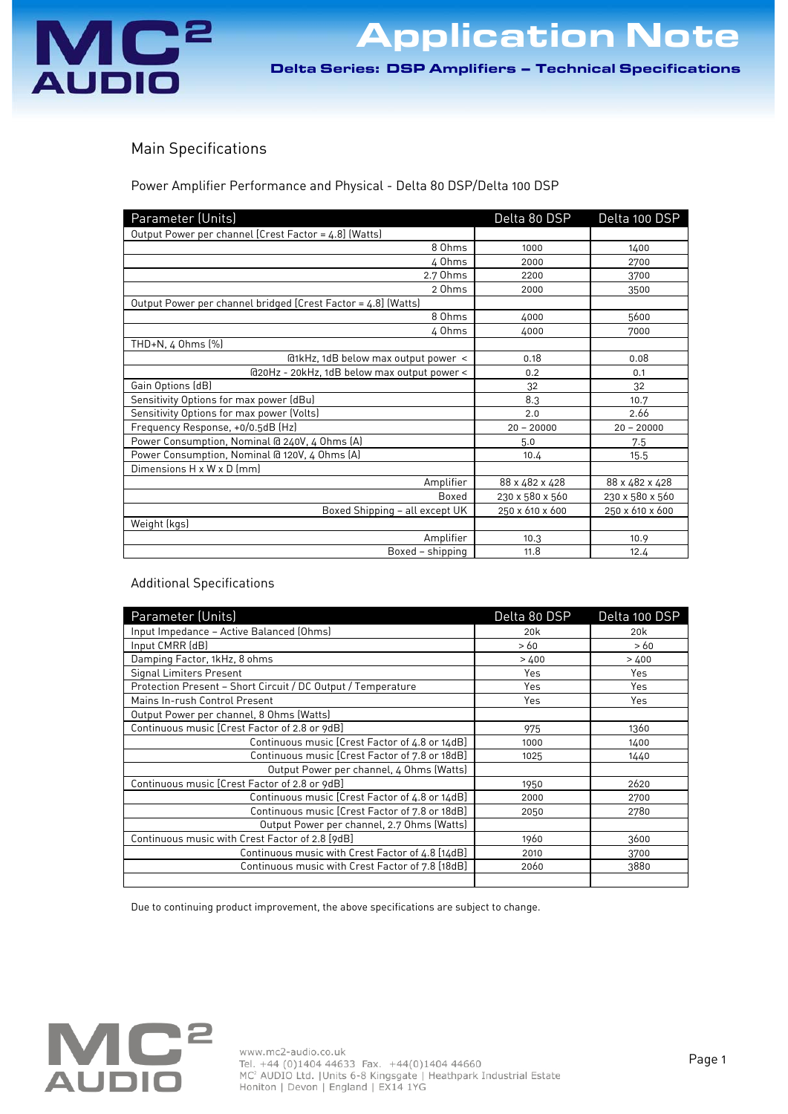

**Delication Note** 

Delta Series: DSP Amplifiers – Technical Specifications

## Main Specifications

Power Amplifier Performance and Physical - Delta 80 DSP/Delta 100 DSP

| Parameter (Units)                                             | Delta 80 DSP    | Delta 100 DSP   |
|---------------------------------------------------------------|-----------------|-----------------|
| Output Power per channel [Crest Factor = 4.8] (Watts)         |                 |                 |
| 8 Ohms                                                        | 1000            | 1400            |
| 4 Ohms                                                        | 2000            | 2700            |
| 2.7 Ohms                                                      | 2200            | 3700            |
| 2 Ohms                                                        | 2000            | 3500            |
| Output Power per channel bridged [Crest Factor = 4.8] (Watts) |                 |                 |
| 8 Ohms                                                        | 4000            | 5600            |
| 4 Ohms                                                        | 4000            | 7000            |
| $THD+N, 4$ Ohms $[\%]$                                        |                 |                 |
| @1kHz, 1dB below max output power <                           | 0.18            | 0.08            |
| @20Hz - 20kHz, 1dB below max output power <                   | 0.2             | 0.1             |
| Gain Options (dB)                                             | 32              | 32              |
| Sensitivity Options for max power (dBu)                       | 8.3             | 10.7            |
| Sensitivity Options for max power (Volts)                     | 2.0             | 2.66            |
| Frequency Response, +0/0.5dB (Hz)                             | $20 - 20000$    | $20 - 20000$    |
| Power Consumption, Nominal @ 240V, 4 Ohms (A)                 | 5.0             | 7.5             |
| Power Consumption, Nominal @ 120V, 4 Ohms (A)                 | 10.4            | 15.5            |
| Dimensions H x W x D (mm)                                     |                 |                 |
| Amplifier                                                     | 88 x 482 x 428  | 88 x 482 x 428  |
| Boxed                                                         | 230 x 580 x 560 | 230 x 580 x 560 |
| Boxed Shipping - all except UK                                | 250 x 610 x 600 | 250 x 610 x 600 |
| Weight (kgs)                                                  |                 |                 |
| Amplifier                                                     | 10.3            | 10.9            |
| Boxed - shipping                                              | 11.8            | 12.4            |

## Additional Specifications

| Parameter (Units)                                            | Delta 80 DSP    | Delta 100 DSP   |
|--------------------------------------------------------------|-----------------|-----------------|
| Input Impedance - Active Balanced (Ohms)                     | 20 <sub>k</sub> | 20 <sub>k</sub> |
| Input CMRR (dB)                                              | >60             | >60             |
| Damping Factor, 1kHz, 8 ohms                                 | >400            | >400            |
| Signal Limiters Present                                      | Yes             | Yes             |
| Protection Present - Short Circuit / DC Output / Temperature | Yes             | Yes             |
| Mains In-rush Control Present                                | Yes             | Yes             |
| Output Power per channel, 8 Ohms (Watts)                     |                 |                 |
| Continuous music [Crest Factor of 2.8 or 9dB]                | 975             | 1360            |
| Continuous music [Crest Factor of 4.8 or 14dB]               | 1000            | 1400            |
| Continuous music [Crest Factor of 7.8 or 18dB]               | 1025            | 1440            |
| Output Power per channel, 4 Ohms (Watts)                     |                 |                 |
| Continuous music [Crest Factor of 2.8 or 9dB]                | 1950            | 2620            |
| Continuous music [Crest Factor of 4.8 or 14dB]               | 2000            | 2700            |
| Continuous music [Crest Factor of 7.8 or 18dB]               | 2050            | 2780            |
| Output Power per channel, 2.7 Ohms (Watts)                   |                 |                 |
| Continuous music with Crest Factor of 2.8 [9dB]              | 1960            | 3600            |
| Continuous music with Crest Factor of 4.8 [14dB]             | 2010            | 3700            |
| Continuous music with Crest Factor of 7.8 [18dB]             | 2060            | 3880            |
|                                                              |                 |                 |

Due to continuing product improvement, the above specifications are subject to change.

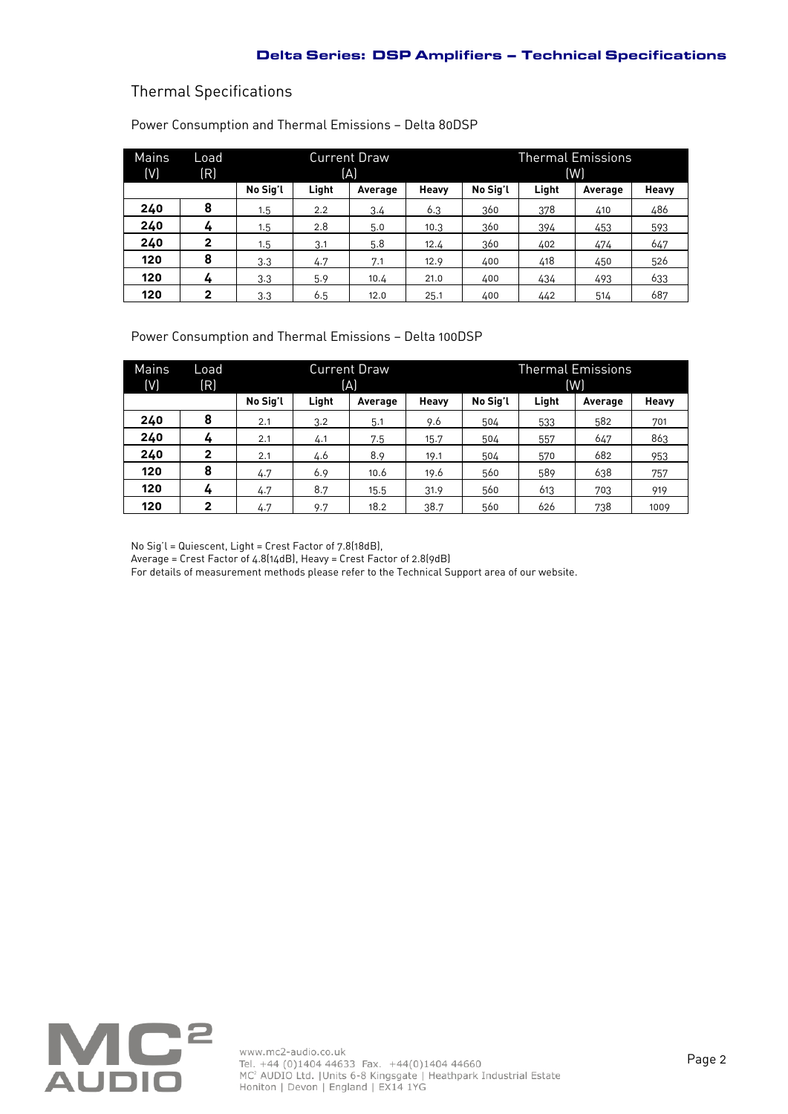## Thermal Specifications

J.

| Mains | Load         | <b>Current Draw</b> |       |         | Thermal Emissions |          |       |         |       |
|-------|--------------|---------------------|-------|---------|-------------------|----------|-------|---------|-------|
| (V)   | (R)          | (A)                 |       |         | (W)               |          |       |         |       |
|       |              | No Sig'l            | Light | Average | Heavy             | No Sig'l | Light | Average | Heavy |
| 240   | 8            | 1.5                 | 2.2   | 3.4     | 6.3               | 360      | 378   | 410     | 486   |
| 240   | 4            | 1.5                 | 2.8   | 5.0     | 10.3              | 360      | 394   | 453     | 593   |
| 240   | $\mathbf{2}$ | 1.5                 | 3.1   | 5.8     | 12.4              | 360      | 402   | 474     | 647   |
| 120   | 8            | 3.3                 | 4.7   | 7.1     | 12.9              | 400      | 418   | 450     | 526   |
| 120   | 4            | 3.3                 | 5.9   | 10.4    | 21.0              | 400      | 434   | 493     | 633   |
| 120   | 2            | 3.3                 | 6.5   | 12.0    | 25.1              | 400      | 442   | 514     | 687   |

Power Consumption and Thermal Emissions — Delta 80DSP

Power Consumption and Thermal Emissions — Delta 100DSP

| Mains<br>(V) | Load<br>(R)  | <b>Current Draw</b><br>(A) |       |         | Thermal Emissions<br>(W) |          |       |         |       |
|--------------|--------------|----------------------------|-------|---------|--------------------------|----------|-------|---------|-------|
|              |              | No Sig'l                   | Light | Average | Heavy                    | No Sig'l | Light | Average | Heavy |
| 240          | 8            | 2.1                        | 3.2   | 5.1     | 9.6                      | 504      | 533   | 582     | 701   |
| 240          | 4            | 2.1                        | 4.1   | 7.5     | 15.7                     | 504      | 557   | 647     | 863   |
| 240          | $\mathbf{2}$ | 2.1                        | 4.6   | 8.9     | 19.1                     | 504      | 570   | 682     | 953   |
| 120          | 8            | 4.7                        | 6.9   | 10.6    | 19.6                     | 560      | 589   | 638     | 757   |
| 120          | 4            | 4.7                        | 8.7   | 15.5    | 31.9                     | 560      | 613   | 703     | 919   |
| 120          | $\mathbf{2}$ | 4.7                        | 9.7   | 18.2    | 38.7                     | 560      | 626   | 738     | 1009  |

No Sig'l = Quiescent, Light = Crest Factor of 7.8(18dB),

Average = Crest Factor of 4.8(14dB), Heavy = Crest Factor of 2.8(9dB)

For details of measurement methods please refer to the Technical Support area of our website.